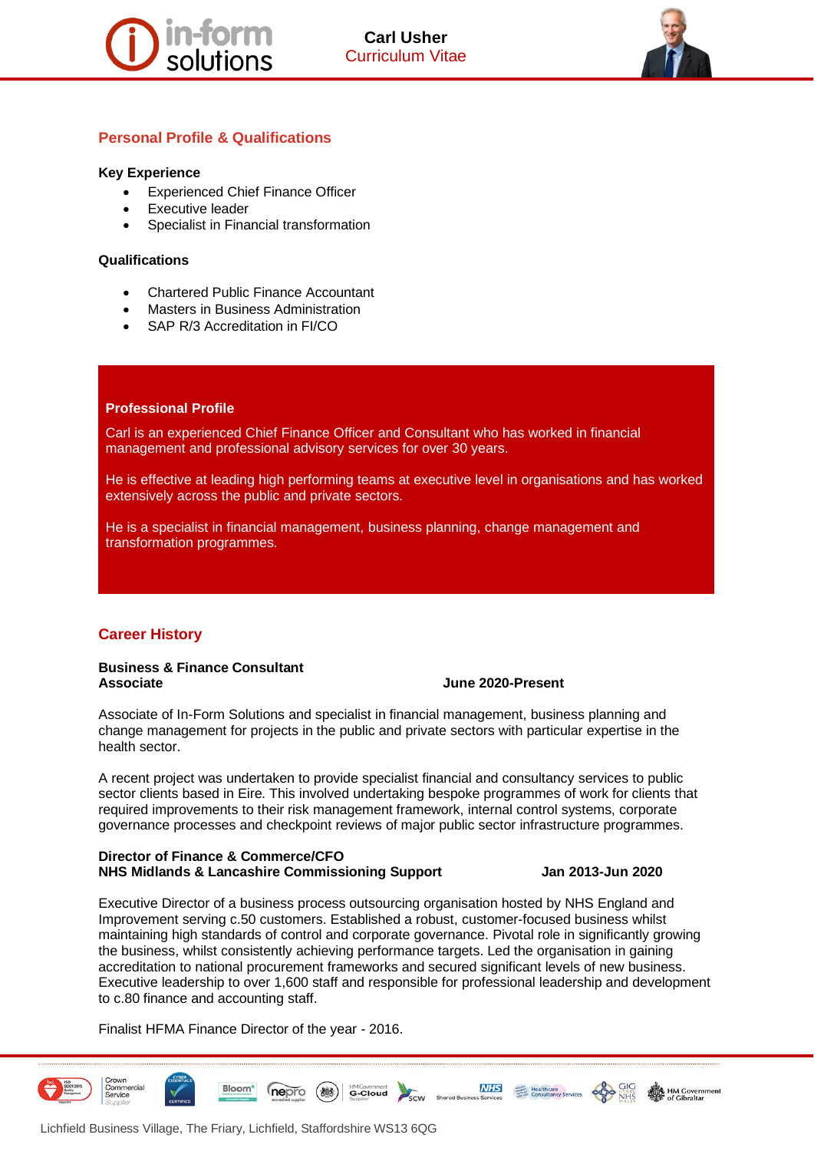



# **Personal Profile & Qualifications**

#### **Key Experience**

- Experienced Chief Finance Officer
- Executive leader
- Specialist in Financial transformation

#### **Qualifications**

- Chartered Public Finance Accountant
- Masters in Business Administration
- SAP R/3 Accreditation in FI/CO

#### **Professional Profile**

Carl is an experienced Chief Finance Officer and Consultant who has worked in financial management and professional advisory services for over 30 years.

He is effective at leading high performing teams at executive level in organisations and has worked extensively across the public and private sectors.

He is a specialist in financial management, business planning, change management and transformation programmes.

# **Career History**

#### **Business & Finance Consultant Associate June 2020-Present**

Associate of In-Form Solutions and specialist in financial management, business planning and change management for projects in the public and private sectors with particular expertise in the health sector.

A recent project was undertaken to provide specialist financial and consultancy services to public sector clients based in Eire. This involved undertaking bespoke programmes of work for clients that required improvements to their risk management framework, internal control systems, corporate governance processes and checkpoint reviews of major public sector infrastructure programmes.

#### **Director of Finance & Commerce/CFO NHS Midlands & Lancashire Commissioning Support Jan 2013-Jun 2020**

Executive Director of a business process outsourcing organisation hosted by NHS England and Improvement serving c.50 customers. Established a robust, customer-focused business whilst maintaining high standards of control and corporate governance. Pivotal role in significantly growing the business, whilst consistently achieving performance targets. Led the organisation in gaining accreditation to national procurement frameworks and secured significant levels of new business. Executive leadership to over 1,600 staff and responsible for professional leadership and development to c.80 finance and accounting staff.

Finalist HFMA Finance Director of the year - 2016.



Lichfield Business Village, The Friary, Lichfield, Staffordshire WS13 6QG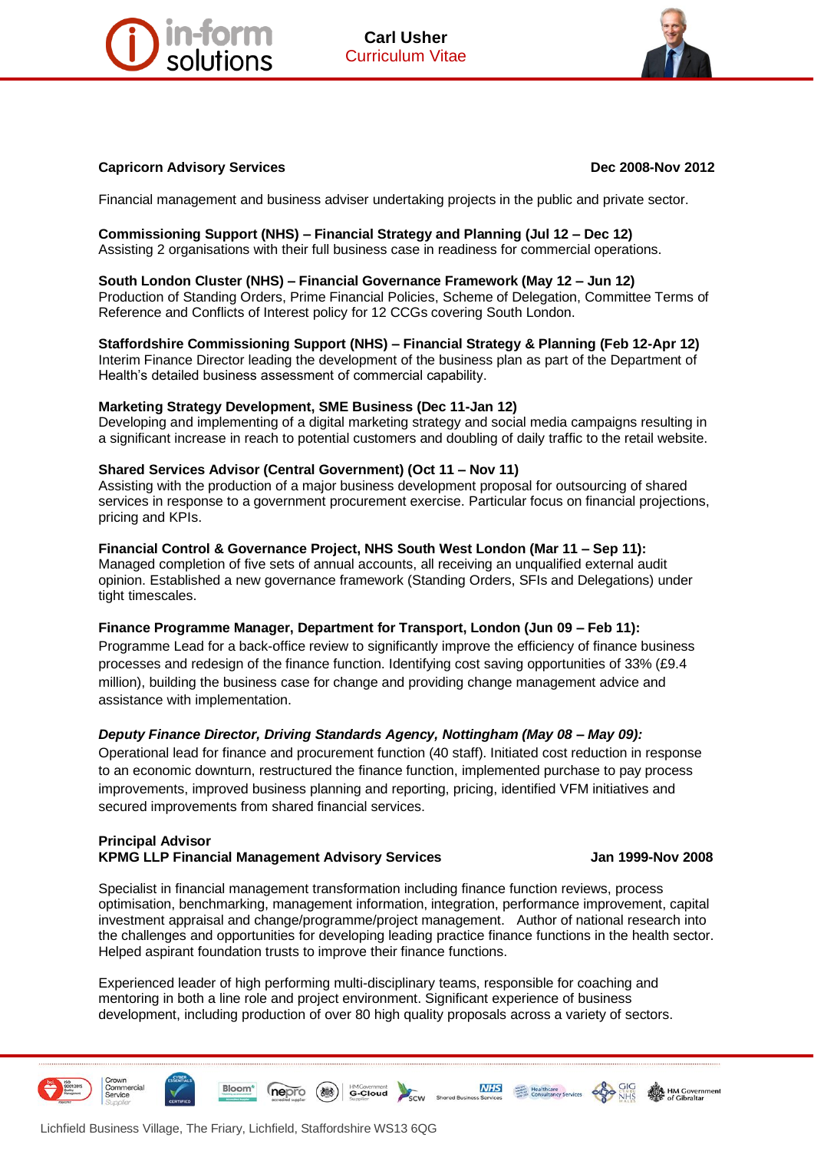



#### **Capricorn Advisory Services Dec 2008-Nov 2012**

Financial management and business adviser undertaking projects in the public and private sector.

## **Commissioning Support (NHS) – Financial Strategy and Planning (Jul 12 – Dec 12)**

Assisting 2 organisations with their full business case in readiness for commercial operations.

### **South London Cluster (NHS) – Financial Governance Framework (May 12 – Jun 12)**

Production of Standing Orders, Prime Financial Policies, Scheme of Delegation, Committee Terms of Reference and Conflicts of Interest policy for 12 CCGs covering South London.

## **Staffordshire Commissioning Support (NHS) – Financial Strategy & Planning (Feb 12-Apr 12)**

Interim Finance Director leading the development of the business plan as part of the Department of Health's detailed business assessment of commercial capability.

### **Marketing Strategy Development, SME Business (Dec 11-Jan 12)**

Developing and implementing of a digital marketing strategy and social media campaigns resulting in a significant increase in reach to potential customers and doubling of daily traffic to the retail website.

### **Shared Services Advisor (Central Government) (Oct 11 – Nov 11)**

Assisting with the production of a major business development proposal for outsourcing of shared services in response to a government procurement exercise. Particular focus on financial projections, pricing and KPIs.

#### **Financial Control & Governance Project, NHS South West London (Mar 11 – Sep 11):**

Managed completion of five sets of annual accounts, all receiving an unqualified external audit opinion. Established a new governance framework (Standing Orders, SFIs and Delegations) under tight timescales.

### **Finance Programme Manager, Department for Transport, London (Jun 09 – Feb 11):**

Programme Lead for a back-office review to significantly improve the efficiency of finance business processes and redesign of the finance function. Identifying cost saving opportunities of 33% (£9.4 million), building the business case for change and providing change management advice and assistance with implementation.

### *Deputy Finance Director, Driving Standards Agency, Nottingham (May 08 – May 09):*

Operational lead for finance and procurement function (40 staff). Initiated cost reduction in response to an economic downturn, restructured the finance function, implemented purchase to pay process improvements, improved business planning and reporting, pricing, identified VFM initiatives and secured improvements from shared financial services.

### **Principal Advisor KPMG LLP Financial Management Advisory Services Jan 1999-Nov 2008**

HM Government

Specialist in financial management transformation including finance function reviews, process optimisation, benchmarking, management information, integration, performance improvement, capital investment appraisal and change/programme/project management. Author of national research into the challenges and opportunities for developing leading practice finance functions in the health sector. Helped aspirant foundation trusts to improve their finance functions.

**NHS** 

Experienced leader of high performing multi-disciplinary teams, responsible for coaching and mentoring in both a line role and project environment. Significant experience of business development, including production of over 80 high quality proposals across a variety of sectors.

**HMGovernment**<br>G-Cloud

Bloom<sup>\*</sup>

nepro

(选择)